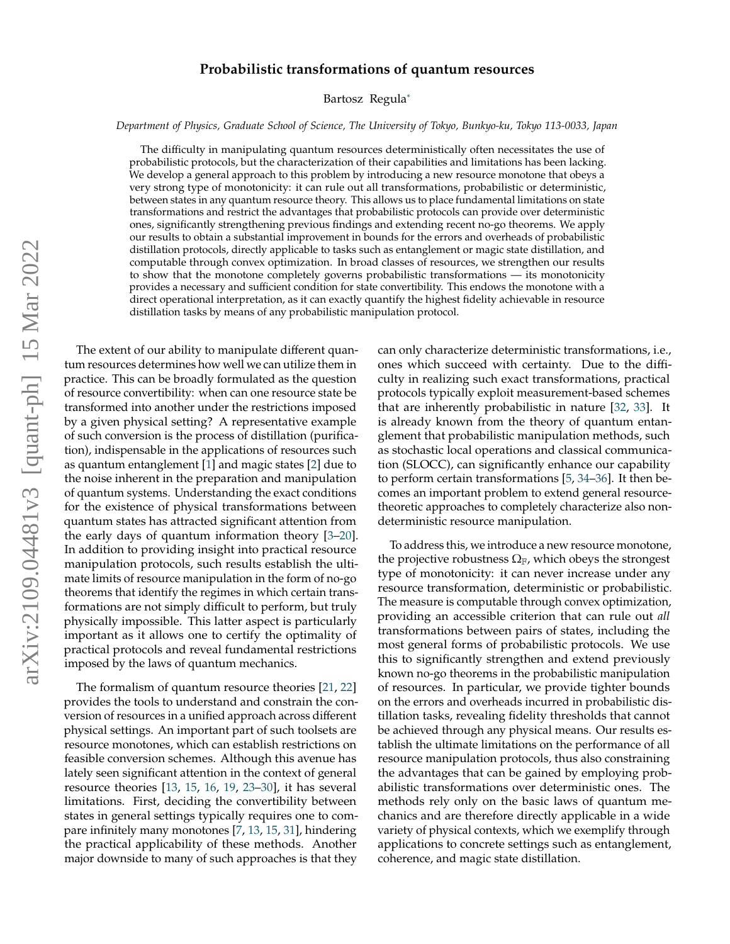# **Probabilistic transformations of quantum resources**

Bartosz Regul[a](#page-4-0)<sup>∗</sup>

*Department of Physics, Graduate School of Science, The University of Tokyo, Bunkyo-ku, Tokyo 113-0033, Japan*

The difficulty in manipulating quantum resources deterministically often necessitates the use of probabilistic protocols, but the characterization of their capabilities and limitations has been lacking. We develop a general approach to this problem by introducing a new resource monotone that obeys a very strong type of monotonicity: it can rule out all transformations, probabilistic or deterministic, between states in any quantum resource theory. This allows us to place fundamental limitations on state transformations and restrict the advantages that probabilistic protocols can provide over deterministic ones, significantly strengthening previous findings and extending recent no-go theorems. We apply our results to obtain a substantial improvement in bounds for the errors and overheads of probabilistic distillation protocols, directly applicable to tasks such as entanglement or magic state distillation, and computable through convex optimization. In broad classes of resources, we strengthen our results to show that the monotone completely governs probabilistic transformations — its monotonicity provides a necessary and sufficient condition for state convertibility. This endows the monotone with a direct operational interpretation, as it can exactly quantify the highest fidelity achievable in resource distillation tasks by means of any probabilistic manipulation protocol.

The extent of our ability to manipulate different quantum resources determines how well we can utilize them in practice. This can be broadly formulated as the question of resource convertibility: when can one resource state be transformed into another under the restrictions imposed by a given physical setting? A representative example of such conversion is the process of distillation (purification), indispensable in the applications of resources such as quantum entanglement [\[1\]](#page-4-1) and magic states [\[2\]](#page-4-2) due to the noise inherent in the preparation and manipulation of quantum systems. Understanding the exact conditions for the existence of physical transformations between quantum states has attracted significant attention from the early days of quantum information theory [\[3–](#page-4-3)[20\]](#page-5-0). In addition to providing insight into practical resource manipulation protocols, such results establish the ultimate limits of resource manipulation in the form of no-go theorems that identify the regimes in which certain transformations are not simply difficult to perform, but truly physically impossible. This latter aspect is particularly important as it allows one to certify the optimality of practical protocols and reveal fundamental restrictions imposed by the laws of quantum mechanics.

The formalism of quantum resource theories [\[21,](#page-5-1) [22\]](#page-5-2) provides the tools to understand and constrain the conversion of resources in a unified approach across different physical settings. An important part of such toolsets are resource monotones, which can establish restrictions on feasible conversion schemes. Although this avenue has lately seen significant attention in the context of general resource theories [\[13,](#page-5-3) [15,](#page-5-4) [16,](#page-5-5) [19,](#page-5-6) [23–](#page-5-7)[30\]](#page-5-8), it has several limitations. First, deciding the convertibility between states in general settings typically requires one to compare infinitely many monotones [\[7,](#page-5-9) [13,](#page-5-3) [15,](#page-5-4) [31\]](#page-5-10), hindering the practical applicability of these methods. Another major downside to many of such approaches is that they can only characterize deterministic transformations, i.e., ones which succeed with certainty. Due to the difficulty in realizing such exact transformations, practical protocols typically exploit measurement-based schemes that are inherently probabilistic in nature [\[32,](#page-5-11) [33\]](#page-5-12). It is already known from the theory of quantum entanglement that probabilistic manipulation methods, such as stochastic local operations and classical communication (SLOCC), can significantly enhance our capability to perform certain transformations [\[5,](#page-4-4) [34–](#page-5-13)[36\]](#page-5-14). It then becomes an important problem to extend general resourcetheoretic approaches to completely characterize also nondeterministic resource manipulation.

To address this, we introduce a new resource monotone, the projective robustness  $\Omega_F$ , which obeys the strongest type of monotonicity: it can never increase under any resource transformation, deterministic or probabilistic. The measure is computable through convex optimization, providing an accessible criterion that can rule out *all* transformations between pairs of states, including the most general forms of probabilistic protocols. We use this to significantly strengthen and extend previously known no-go theorems in the probabilistic manipulation of resources. In particular, we provide tighter bounds on the errors and overheads incurred in probabilistic distillation tasks, revealing fidelity thresholds that cannot be achieved through any physical means. Our results establish the ultimate limitations on the performance of all resource manipulation protocols, thus also constraining the advantages that can be gained by employing probabilistic transformations over deterministic ones. The methods rely only on the basic laws of quantum mechanics and are therefore directly applicable in a wide variety of physical contexts, which we exemplify through applications to concrete settings such as entanglement, coherence, and magic state distillation.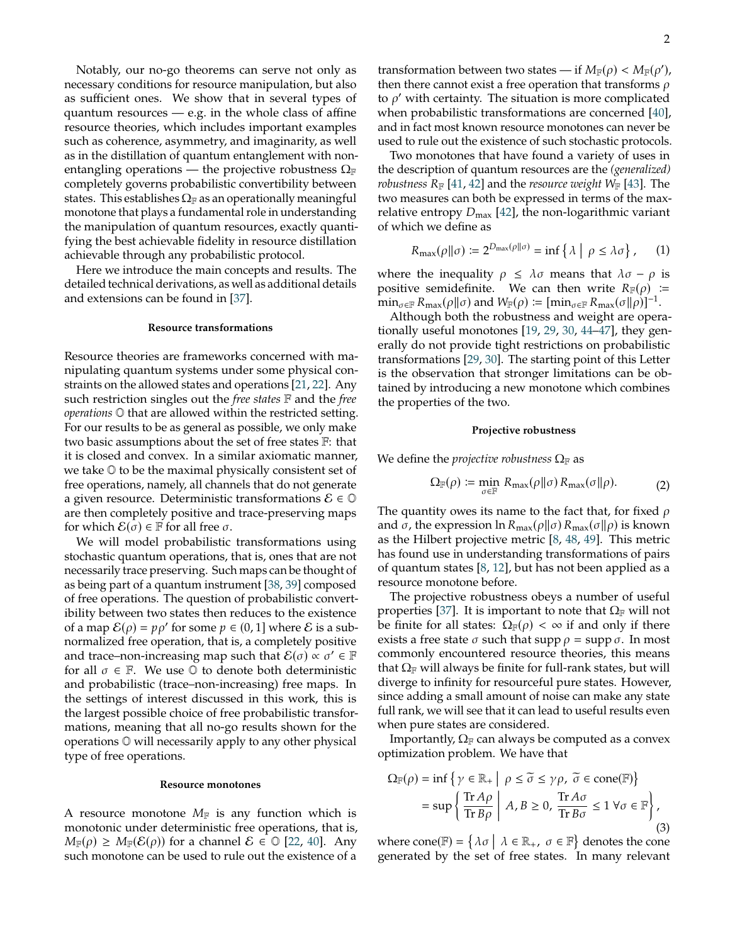Notably, our no-go theorems can serve not only as necessary conditions for resource manipulation, but also as sufficient ones. We show that in several types of quantum resources — e.g. in the whole class of affine resource theories, which includes important examples such as coherence, asymmetry, and imaginarity, as well as in the distillation of quantum entanglement with nonentangling operations — the projective robustness  $\Omega_F$ completely governs probabilistic convertibility between states. This establishes  $\Omega_{\mathbb{F}}$  as an operationally meaningful monotone that plays a fundamental role in understanding the manipulation of quantum resources, exactly quantifying the best achievable fidelity in resource distillation achievable through any probabilistic protocol.

Here we introduce the main concepts and results. The detailed technical derivations, as well as additional details and extensions can be found in [\[37\]](#page-5-15).

# **Resource transformations**

Resource theories are frameworks concerned with manipulating quantum systems under some physical constraints on the allowed states and operations [\[21,](#page-5-1) [22\]](#page-5-2). Any such restriction singles out the *free states* F and the *free operations* O that are allowed within the restricted setting. For our results to be as general as possible, we only make two basic assumptions about the set of free states F: that it is closed and convex. In a similar axiomatic manner, we take O to be the maximal physically consistent set of free operations, namely, all channels that do not generate a given resource. Deterministic transformations  $\mathcal{E} \in \mathbb{O}$ are then completely positive and trace-preserving maps for which  $\mathcal{E}(\sigma) \in \mathbb{F}$  for all free  $\sigma$ .

We will model probabilistic transformations using stochastic quantum operations, that is, ones that are not necessarily trace preserving. Such maps can be thought of as being part of a quantum instrument [\[38,](#page-5-16) [39\]](#page-5-17) composed of free operations. The question of probabilistic convertibility between two states then reduces to the existence of a map  $\mathcal{E}(\rho) = p\rho'$  for some  $p \in (0, 1]$  where  $\mathcal E$  is a sub-<br>pormalized free operation that is a completely positive normalized free operation, that is, a completely positive and trace–non-increasing map such that  $\mathcal{E}(\sigma) \propto \sigma' \in \mathbb{F}$ for all  $\sigma \in \mathbb{F}$ . We use  $\mathbb{O}$  to denote both deterministic and probabilistic (trace–non-increasing) free maps. In the settings of interest discussed in this work, this is the largest possible choice of free probabilistic transformations, meaning that all no-go results shown for the operations O will necessarily apply to any other physical type of free operations.

## **Resource monotones**

A resource monotone  $M_F$  is any function which is monotonic under deterministic free operations, that is,  $M_{\mathbb{F}}(\rho) \geq M_{\mathbb{F}}(\mathcal{E}(\rho))$  for a channel  $\mathcal{E} \in \mathbb{O}$  [\[22,](#page-5-2) [40\]](#page-5-18). Any such monotone can be used to rule out the existence of a

transformation between two states — if  $M_{\mathbb{F}}(\rho) < M_{\mathbb{F}}(\rho')$ ,<br>then there cannot exist a free operation that transforms of then there cannot exist a free operation that transforms  $\rho$ to  $\rho'$  with certainty. The situation is more complicated when probabilistic transformations are concerned [\[40\]](#page-5-18), and in fact most known resource monotones can never be used to rule out the existence of such stochastic protocols.

Two monotones that have found a variety of uses in the description of quantum resources are the *(generalized) robustness*  $R_F$  [\[41,](#page-5-19) [42\]](#page-5-20) and the *resource weight*  $W_F$  [\[43\]](#page-5-21). The two measures can both be expressed in terms of the maxrelative entropy  $D_{\text{max}}$  [\[42\]](#page-5-20), the non-logarithmic variant of which we define as

$$
R_{\max}(\rho||\sigma) \coloneqq 2^{D_{\max}(\rho||\sigma)} = \inf \{ \lambda \mid \rho \le \lambda \sigma \}, \qquad (1)
$$

where the inequality  $\rho \leq \lambda \sigma$  means that  $\lambda \sigma - \rho$  is positive semidefinite. We can then write  $R_F(\rho) \cong$  $\min_{\sigma \in \mathbb{F}} R_{\text{max}}(\rho || \sigma)$  and  $W_{\mathbb{F}}(\rho) := \left[ \min_{\sigma \in \mathbb{F}} R_{\text{max}}(\sigma || \rho) \right]^{-1}$ .

Although both the robustness and weight are operationally useful monotones [\[19,](#page-5-6) [29,](#page-5-22) [30,](#page-5-8) [44](#page-5-23)[–47\]](#page-5-24), they generally do not provide tight restrictions on probabilistic transformations [\[29,](#page-5-22) [30\]](#page-5-8). The starting point of this Letter is the observation that stronger limitations can be obtained by introducing a new monotone which combines the properties of the two.

### **Projective robustness**

We define the *projective robustness*  $\Omega_F$  as

$$
\Omega_{\mathbb{F}}(\rho) \coloneqq \min_{\sigma \in \mathbb{F}} R_{\max}(\rho \| \sigma) R_{\max}(\sigma \| \rho). \tag{2}
$$

The quantity owes its name to the fact that, for fixed  $\rho$ and  $\sigma$ , the expression ln  $R_{\text{max}}(\rho||\sigma) R_{\text{max}}(\sigma||\rho)$  is known as the Hilbert projective metric [\[8,](#page-5-25) [48,](#page-5-26) [49\]](#page-5-27). This metric has found use in understanding transformations of pairs of quantum states [\[8,](#page-5-25) [12\]](#page-5-28), but has not been applied as a resource monotone before.

The projective robustness obeys a number of useful properties [\[37\]](#page-5-15). It is important to note that  $\Omega_F$  will not be finite for all states:  $\Omega_{\mathbb{F}}(\rho) < \infty$  if and only if there exists a free state  $\sigma$  such that supp  $\rho = \text{supp } \sigma$ . In most commonly encountered resource theories, this means that  $\Omega_F$  will always be finite for full-rank states, but will diverge to infinity for resourceful pure states. However, since adding a small amount of noise can make any state full rank, we will see that it can lead to useful results even when pure states are considered.

Importantly,  $\Omega_F$  can always be computed as a convex optimization problem. We have that

$$
\Omega_{\mathbb{F}}(\rho) = \inf \left\{ \gamma \in \mathbb{R}_+ \middle| \rho \le \widetilde{\sigma} \le \gamma \rho, \ \widetilde{\sigma} \in \text{cone}(\mathbb{F}) \right\}
$$

$$
= \sup \left\{ \frac{\text{Tr} \, A\rho}{\text{Tr} \, B\rho} \middle| A, B \ge 0, \ \frac{\text{Tr} \, A\sigma}{\text{Tr} \, B\sigma} \le 1 \ \forall \sigma \in \mathbb{F} \right\},\tag{3}
$$

where  $cone(\mathbb{F}) = \{\lambda \sigma \mid \lambda \in \mathbb{R}_+, \sigma \in \mathbb{F}\}$  denotes the cone generated by the set of free states. In many relevant generated by the set of free states. In many relevant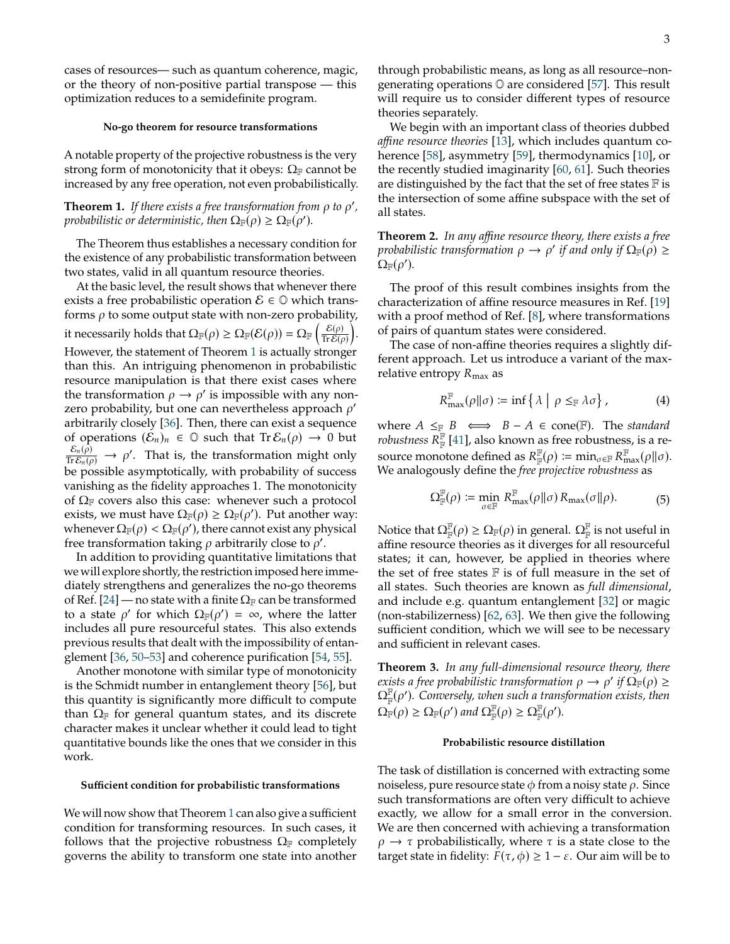cases of resources— such as quantum coherence, magic, or the theory of non-positive partial transpose — this optimization reduces to a semidefinite program.

#### **No-go theorem for resource transformations**

A notable property of the projective robustness is the very strong form of monotonicity that it obeys:  $\Omega_F$  cannot be increased by any free operation, not even probabilistically.

# <span id="page-2-0"></span>**Theorem 1.** If there exists a free transformation from  $\rho$  to  $\rho'$ , *probabilistic or deterministic, then*  $\Omega_{\mathbb{F}}(\rho) \ge \Omega_{\mathbb{F}}(\rho').$

The Theorem thus establishes a necessary condition for the existence of any probabilistic transformation between two states, valid in all quantum resource theories.

At the basic level, the result shows that whenever there exists a free probabilistic operation  $\mathcal{E} \in \mathbb{O}$  which transforms  $\rho$  to some output state with non-zero probability, it necessarily holds that  $\Omega_{\mathbb{F}}(\rho) \geq \Omega_{\mathbb{F}}(\mathcal{E}(\rho)) = \Omega_{\mathbb{F}}\left(\frac{\mathcal{E}(\rho)}{\text{Tr}\mathcal{E}(\rho)}\right)$  $\frac{\mathcal{E}(\rho)}{\text{Tr} \mathcal{E}(\rho)}$ . However, the statement of Theorem [1](#page-2-0) is actually stronger than this. An intriguing phenomenon in probabilistic resource manipulation is that there exist cases where the transformation  $\rho \rightarrow \rho'$  is impossible with any nonzero probability, but one can nevertheless approach  $\rho'$ arbitrarily closely [\[36\]](#page-5-14). Then, there can exist a sequence of operations  $(\mathcal{E}_n)_n \in \mathbb{O}$  such that  $\text{Tr} \mathcal{E}_n(\rho) \to 0$  but  $\frac{\mathcal{E}_n(\hat{\rho})}{\text{Tr} \mathcal{E}_n(\rho)} \rightarrow \rho'$ . That is, the transformation might only be possible asymptotically, with probability of success vanishing as the fidelity approaches 1. The monotonicity of  $\Omega_F$  covers also this case: whenever such a protocol exists, we must have  $\Omega_{\mathbb{F}}(\rho) \geq \Omega_{\mathbb{F}}(\rho')$ . Put another way: whenever  $\Omega_{\mathbb{F}}(\rho) < \Omega_{\mathbb{F}}(\rho')$ , there cannot exist any physical free transformation taking  $\rho$  arbitrarily close to  $\rho'$ .

In addition to providing quantitative limitations that we will explore shortly, the restriction imposed here immediately strengthens and generalizes the no-go theorems of Ref. [\[24\]](#page-5-29) — no state with a finite  $\Omega_F$  can be transformed to a state  $\rho'$  for which  $\Omega_{\mathbb{F}}(\rho') = \infty$ , where the latter includes all pure resourceful states. This also extends previous results that dealt with the impossibility of entanglement [\[36,](#page-5-14) [50–](#page-5-30)[53\]](#page-5-31) and coherence purification [\[54,](#page-5-32) [55\]](#page-5-33).

Another monotone with similar type of monotonicity is the Schmidt number in entanglement theory [\[56\]](#page-6-0), but this quantity is significantly more difficult to compute than  $\Omega_F$  for general quantum states, and its discrete character makes it unclear whether it could lead to tight quantitative bounds like the ones that we consider in this work.

## **Sufficient condition for probabilistic transformations**

We will now show that Theorem [1](#page-2-0) can also give a sufficient condition for transforming resources. In such cases, it follows that the projective robustness  $\Omega_F$  completely governs the ability to transform one state into another through probabilistic means, as long as all resource–nongenerating operations O are considered [\[57\]](#page-6-1). This result will require us to consider different types of resource theories separately.

We begin with an important class of theories dubbed *affine resource theories* [\[13\]](#page-5-3), which includes quantum coherence [\[58\]](#page-6-2), asymmetry [\[59\]](#page-6-3), thermodynamics [\[10\]](#page-5-34), or the recently studied imaginarity [\[60,](#page-6-4) [61\]](#page-6-5). Such theories are distinguished by the fact that the set of free states  $F$  is the intersection of some affine subspace with the set of all states.

**Theorem 2.** *In any affine resource theory, there exists a free* probabilistic transformation  $\rho \to \rho'$  if and only if  $\Omega_{\mathbb{F}}(\rho) \geq 0$  $\Omega_{\mathbb{F}}(\rho').$ 

The proof of this result combines insights from the characterization of affine resource measures in Ref. [\[19\]](#page-5-6) with a proof method of Ref. [\[8\]](#page-5-25), where transformations of pairs of quantum states were considered.

The case of non-affine theories requires a slightly different approach. Let us introduce a variant of the maxrelative entropy  $R_{\text{max}}$  as

$$
R_{\max}^{\mathbb{F}}(\rho \| \sigma) \coloneqq \inf \{ \lambda \mid \rho \leq_{\mathbb{F}} \lambda \sigma \}, \tag{4}
$$

where  $A \leq_{\mathbb{F}} B \iff B - A \in \text{cone}(\mathbb{F})$ . The *standard robustness*  $\overline{R}_{\mathbb{F}}^{\mathbb{F}}$  [\[41\]](#page-5-19), also known as free robustness, is a resource monotone defined as  $R_{\mathbb{F}}^{\mathbb{F}}(\rho) \coloneqq \min_{\sigma \in \mathbb{F}} R_{\max}^{\mathbb{F}}(\rho || \sigma)$ .<br>We analogously define the *free projective robustness* as We analogously define the *free projective robustness* as

$$
\Omega_{\mathbb{F}}^{\mathbb{F}}(\rho) \coloneqq \min_{\sigma \in \mathbb{F}} R_{\max}^{\mathbb{F}}(\rho \| \sigma) R_{\max}(\sigma \| \rho). \tag{5}
$$

Notice that  $\Omega_\mathbb{F}^\mathbb{F}(\rho)\geq \Omega_\mathbb{F}(\rho)$  in general.  $\Omega_\mathbb{F}^\mathbb{F}$  is not useful in affine resource theories as it diverges for all resourceful states; it can, however, be applied in theories where the set of free states  $\mathbb F$  is of full measure in the set of all states. Such theories are known as *full dimensional*, and include e.g. quantum entanglement [\[32\]](#page-5-11) or magic (non-stabilizerness) [\[62,](#page-6-6) [63\]](#page-6-7). We then give the following sufficient condition, which we will see to be necessary and sufficient in relevant cases.

**Theorem 3.** *In any full-dimensional resource theory, there* exists a free probabilistic transformation  $\rho \to \rho'$  if  $\Omega_{\mathbb{F}}(\rho) \geq 0$ ΩF F (𝜌 0 )*. Conversely, when such a transformation exists, then*  $\Omega_{\mathbb{F}}(\rho) \geq \Omega_{\mathbb{F}}(\rho')$  and  $\Omega_{\mathbb{F}}^{\mathbb{F}}(\rho) \geq \Omega_{\mathbb{F}}^{\mathbb{F}}(\rho').$ 

# **Probabilistic resource distillation**

The task of distillation is concerned with extracting some noiseless, pure resource state  $\phi$  from a noisy state  $\rho$ . Since such transformations are often very difficult to achieve exactly, we allow for a small error in the conversion. We are then concerned with achieving a transformation  $\rho \rightarrow \tau$  probabilistically, where  $\tau$  is a state close to the target state in fidelity:  $F(\tau, \phi) \geq 1 - \varepsilon$ . Our aim will be to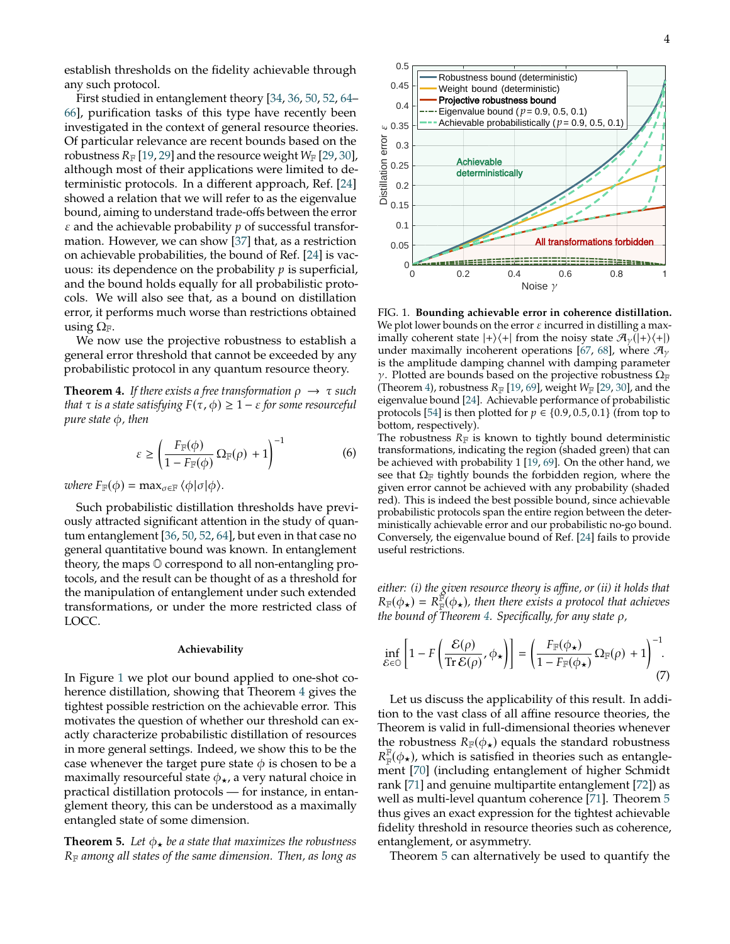establish thresholds on the fidelity achievable through any such protocol.

First studied in entanglement theory [\[34,](#page-5-13) [36,](#page-5-14) [50,](#page-5-30) [52,](#page-5-35) [64–](#page-6-8) [66\]](#page-6-9), purification tasks of this type have recently been investigated in the context of general resource theories. Of particular relevance are recent bounds based on the robustness  $R_F$  [\[19,](#page-5-6) [29\]](#page-5-22) and the resource weight  $W_F$  [\[29,](#page-5-22) [30\]](#page-5-8), although most of their applications were limited to deterministic protocols. In a different approach, Ref. [\[24\]](#page-5-29) showed a relation that we will refer to as the eigenvalue bound, aiming to understand trade-offs between the error  $\varepsilon$  and the achievable probability  $p$  of successful transformation. However, we can show [\[37\]](#page-5-15) that, as a restriction on achievable probabilities, the bound of Ref. [\[24\]](#page-5-29) is vacuous: its dependence on the probability  $p$  is superficial, and the bound holds equally for all probabilistic protocols. We will also see that, as a bound on distillation error, it performs much worse than restrictions obtained using  $\Omega_{\mathbb{F}}$ .

We now use the projective robustness to establish a general error threshold that cannot be exceeded by any probabilistic protocol in any quantum resource theory.

<span id="page-3-1"></span>**Theorem 4.** *If there exists a free transformation*  $\rho \rightarrow \tau$  *such that*  $\tau$  *is a state satisfying*  $F(\tau, \phi) \geq 1 - \varepsilon$  *for some resourceful pure state* φ, *then* 

$$
\varepsilon \ge \left(\frac{F_{\mathbb{F}}(\phi)}{1 - F_{\mathbb{F}}(\phi)} \Omega_{\mathbb{F}}(\rho) + 1\right)^{-1} \tag{6}
$$

*where*  $F_{\mathbb{F}}(\phi) = \max_{\sigma \in \mathbb{F}} \langle \phi | \sigma | \phi \rangle$ .

Such probabilistic distillation thresholds have previously attracted significant attention in the study of quantum entanglement [\[36,](#page-5-14) [50,](#page-5-30) [52,](#page-5-35) [64\]](#page-6-8), but even in that case no general quantitative bound was known. In entanglement theory, the maps O correspond to all non-entangling protocols, and the result can be thought of as a threshold for the manipulation of entanglement under such extended transformations, or under the more restricted class of LOCC.

### **Achievability**

In Figure [1](#page-3-0) we plot our bound applied to one-shot coherence distillation, showing that Theorem [4](#page-3-1) gives the tightest possible restriction on the achievable error. This motivates the question of whether our threshold can exactly characterize probabilistic distillation of resources in more general settings. Indeed, we show this to be the case whenever the target pure state  $\phi$  is chosen to be a maximally resourceful state  $\phi_{\star}$ , a very natural choice in practical distillation protocols — for instance, in entanglement theory, this can be understood as a maximally entangled state of some dimension.

<span id="page-3-2"></span>**Theorem 5.** Let  $\phi_{\star}$  be a state that maximizes the robustness <sup>𝑅</sup><sup>F</sup> *among all states of the same dimension. Then, as long as*



<span id="page-3-0"></span>FIG. 1. **Bounding achievable error in coherence distillation.** We plot lower bounds on the error  $\varepsilon$  incurred in distilling a maximally coherent state  $|+\rangle\langle+|$  from the noisy state  $\mathcal{A}_{\gamma}(|+\rangle\langle+|)$ under maximally incoherent operations [\[67,](#page-6-10) [68\]](#page-6-11), where  $\mathcal{H}_{\gamma}$ is the amplitude damping channel with damping parameter  $γ$ . Plotted are bounds based on the projective robustness  $Ω<sub>F</sub>$ (Theorem [4\)](#page-3-1), robustness  $R_F$  [\[19,](#page-5-6) [69\]](#page-6-12), weight  $W_F$  [\[29,](#page-5-22) [30\]](#page-5-8), and the eigenvalue bound [\[24\]](#page-5-29). Achievable performance of probabilistic protocols [\[54\]](#page-5-32) is then plotted for  $p \in \{0.9, 0.5, 0.1\}$  (from top to bottom, respectively).

The robustness  $R_F$  is known to tightly bound deterministic transformations, indicating the region (shaded green) that can be achieved with probability 1 [\[19,](#page-5-6) [69\]](#page-6-12). On the other hand, we see that  $\Omega_F$  tightly bounds the forbidden region, where the given error cannot be achieved with any probability (shaded red). This is indeed the best possible bound, since achievable probabilistic protocols span the entire region between the deterministically achievable error and our probabilistic no-go bound. Conversely, the eigenvalue bound of Ref. [\[24\]](#page-5-29) fails to provide useful restrictions.

*either: (i) the given resource theory is affine, or (ii) it holds that*  $R_{\mathbb{F}}(\phi_{\star}) = R_{\mathbb{F}}^{\mathbb{F}}(\phi_{\star})$ , then there exists a protocol that achieves the hound of Theorem 4. Specifically for any state of *the bound of Theorem [4.](#page-3-1) Specifically, for any state*  $\rho$ *,* 

$$
\inf_{\mathcal{E}\in\mathbb{O}}\left[1-F\left(\frac{\mathcal{E}(\rho)}{\mathrm{Tr}\,\mathcal{E}(\rho)},\phi_{\star}\right)\right]=\left(\frac{F_{\mathbb{F}}(\phi_{\star})}{1-F_{\mathbb{F}}(\phi_{\star})}\,\Omega_{\mathbb{F}}(\rho)+1\right)^{-1}.\tag{7}
$$

Let us discuss the applicability of this result. In addition to the vast class of all affine resource theories, the Theorem is valid in full-dimensional theories whenever the robustness  $R_F(\phi_{\star})$  equals the standard robustness 𝑅 ment [\[70\]](#page-6-13) (including entanglement of higher Schmidt  $\mathbb{F}(\phi_{\star})$ , which is satisfied in theories such as entanglerank [\[71\]](#page-6-14) and genuine multipartite entanglement [\[72\]](#page-6-15)) as well as multi-level quantum coherence [\[71\]](#page-6-14). Theorem [5](#page-3-2) thus gives an exact expression for the tightest achievable fidelity threshold in resource theories such as coherence, entanglement, or asymmetry.

Theorem [5](#page-3-2) can alternatively be used to quantify the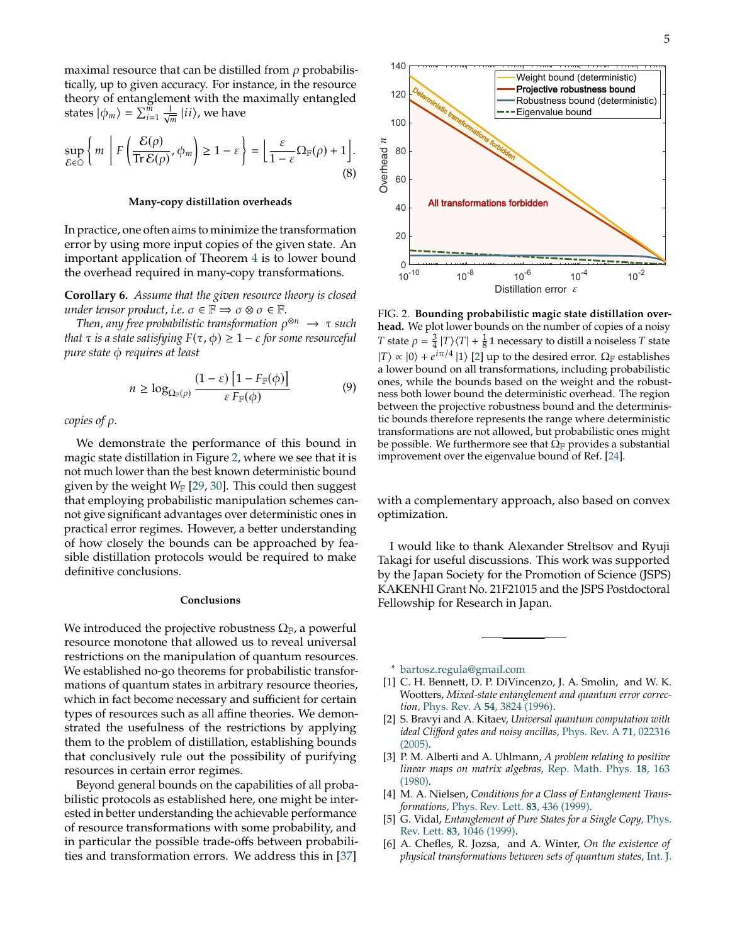maximal resource that can be distilled from  $\rho$  probabilistically, up to given accuracy. For instance, in the resource theory of entanglement with the maximally entangled states  $|\phi_m\rangle = \sum_{i=1}^{\widetilde{m}} \frac{1}{\sqrt{m}} |ii\rangle$ , we have

$$
\sup_{\mathcal{E}\in\mathcal{O}}\left\{m\ \left|F\left(\frac{\mathcal{E}(\rho)}{\mathrm{Tr}\,\mathcal{E}(\rho)},\phi_m\right)\geq 1-\varepsilon\right.\right\}=\left\lfloor\frac{\varepsilon}{1-\varepsilon}\Omega_{\mathbb{F}}(\rho)+1\right\rfloor.\tag{8}
$$

# **Many-copy distillation overheads**

In practice, one often aims to minimize the transformation error by using more input copies of the given state. An important application of Theorem [4](#page-3-1) is to lower bound the overhead required in many-copy transformations.

**Corollary 6.** *Assume that the given resource theory is closed under tensor product, i.e.*  $\sigma \in \mathbb{F} \implies \sigma \otimes \sigma \in \mathbb{F}$ *.* 

Then, any free probabilistic transformation  $\rho^{\otimes n}\ \to\ \tau$  such *that*  $\tau$  *is a state satisfying*  $F(\tau, \phi) \geq 1 - \varepsilon$  *for some resourceful pure state* φ *requires at least* 

$$
n \ge \log_{\Omega_{\mathbb{F}}(\rho)} \frac{(1-\varepsilon) \left[1 - F_{\mathbb{F}}(\phi)\right]}{\varepsilon F_{\mathbb{F}}(\phi)}
$$
(9)

*copies of*  $\rho$ *.* 

We demonstrate the performance of this bound in magic state distillation in Figure [2,](#page-4-5) where we see that it is not much lower than the best known deterministic bound given by the weight  $W_F$  [\[29,](#page-5-22) [30\]](#page-5-8). This could then suggest that employing probabilistic manipulation schemes cannot give significant advantages over deterministic ones in practical error regimes. However, a better understanding of how closely the bounds can be approached by feasible distillation protocols would be required to make definitive conclusions.

#### **Conclusions**

We introduced the projective robustness  $\Omega_{\mathbb{F}}$ , a powerful resource monotone that allowed us to reveal universal restrictions on the manipulation of quantum resources. We established no-go theorems for probabilistic transformations of quantum states in arbitrary resource theories, which in fact become necessary and sufficient for certain types of resources such as all affine theories. We demonstrated the usefulness of the restrictions by applying them to the problem of distillation, establishing bounds that conclusively rule out the possibility of purifying resources in certain error regimes.

Beyond general bounds on the capabilities of all probabilistic protocols as established here, one might be interested in better understanding the achievable performance of resource transformations with some probability, and in particular the possible trade-offs between probabilities and transformation errors. We address this in [\[37\]](#page-5-15)



<span id="page-4-5"></span>FIG. 2. **Bounding probabilistic magic state distillation overhead.** We plot lower bounds on the number of copies of a noisy T state  $\rho = \frac{3}{4} |T\rangle\langle T| + \frac{1}{8} \mathbb{1}$  necessary to distill a noiseless T state  $|T\rangle \propto |0\rangle + e^{i\pi/4} |1\rangle$  [\[2\]](#page-4-2) up to the desired error.  $\Omega_F$  establishes a lower bound on all transformations, including probabilistic ones, while the bounds based on the weight and the robustness both lower bound the deterministic overhead. The region between the projective robustness bound and the deterministic bounds therefore represents the range where deterministic transformations are not allowed, but probabilistic ones might be possible. We furthermore see that  $\Omega_F$  provides a substantial improvement over the eigenvalue bound of Ref. [\[24\]](#page-5-29).

with a complementary approach, also based on convex optimization.

I would like to thank Alexander Streltsov and Ryuji Takagi for useful discussions. This work was supported by the Japan Society for the Promotion of Science (JSPS) KAKENHI Grant No. 21F21015 and the JSPS Postdoctoral Fellowship for Research in Japan.

<span id="page-4-0"></span><sup>∗</sup> [bartosz.regula@gmail.com](mailto:bartosz.regula@gmail.com)

- <span id="page-4-1"></span>[1] C. H. Bennett, D. P. DiVincenzo, J. A. Smolin, and W. K. Wootters, *Mixed-state entanglement and quantum error correction,* Phys. Rev. A **54**[, 3824 \(1996\).](http://dx.doi.org/10.1103/PhysRevA.54.3824)
- <span id="page-4-2"></span>[2] S. Bravyi and A. Kitaev, *Universal quantum computation with ideal Clifford gates and noisy ancillas,* [Phys. Rev. A](http://dx.doi.org/10.1103/PhysRevA.71.022316) **71**, 022316 [\(2005\).](http://dx.doi.org/10.1103/PhysRevA.71.022316)
- <span id="page-4-3"></span>[3] P. M. Alberti and A. Uhlmann, *A problem relating to positive linear maps on matrix algebras,* [Rep. Math. Phys.](http://dx.doi.org/10.1016/0034-4877(80)90083-X) **18**, 163 [\(1980\).](http://dx.doi.org/10.1016/0034-4877(80)90083-X)
- [4] M. A. Nielsen, *Conditions for a Class of Entanglement Transformations,* [Phys. Rev. Lett.](http://dx.doi.org/10.1103/PhysRevLett.83.436) **83**, 436 (1999).
- <span id="page-4-4"></span>[5] G. Vidal, *Entanglement of Pure States for a Single Copy,* [Phys.](http://dx.doi.org/10.1103/PhysRevLett.83.1046) Rev. Lett. **83**[, 1046 \(1999\).](http://dx.doi.org/10.1103/PhysRevLett.83.1046)
- [6] A. Chefles, R. Jozsa, and A. Winter, *On the existence of physical transformations between sets of quantum states,* [Int. J.](http://dx.doi.org/10.1142/S0219749904000031)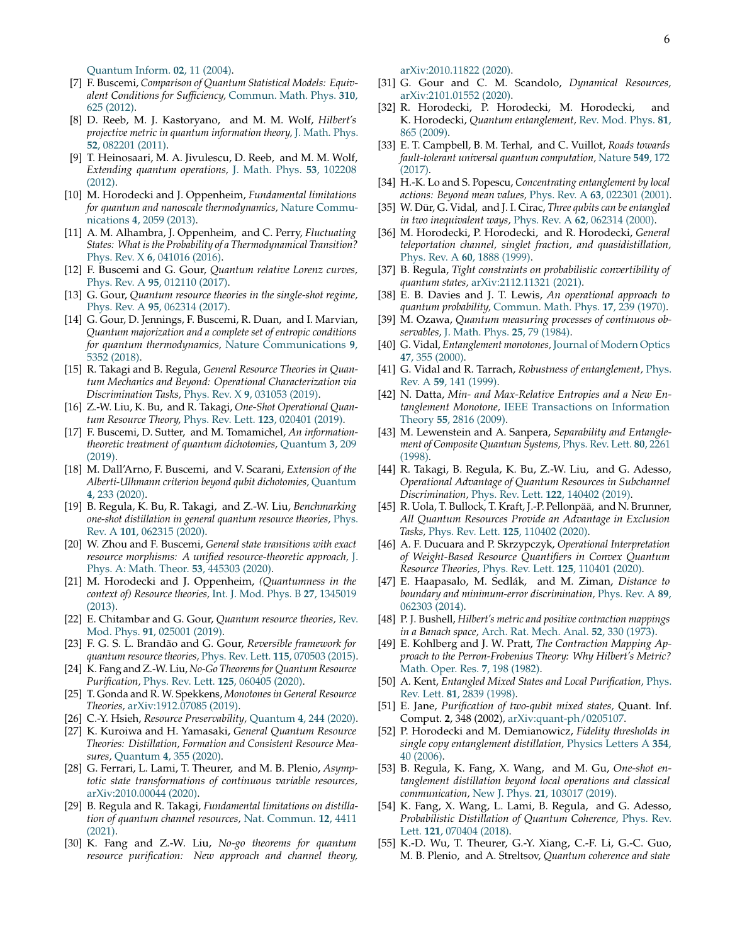[Quantum Inform.](http://dx.doi.org/10.1142/S0219749904000031) **02**, 11 (2004).

- <span id="page-5-9"></span>[7] F. Buscemi, *Comparison of Quantum Statistical Models: Equivalent Conditions for Sufficiency,* [Commun. Math. Phys.](http://dx.doi.org/10.1007/s00220-012-1421-3) **310**, [625 \(2012\).](http://dx.doi.org/10.1007/s00220-012-1421-3)
- <span id="page-5-25"></span>[8] D. Reeb, M. J. Kastoryano, and M. M. Wolf, *Hilbert's projective metric in quantum information theory,* [J. Math. Phys.](http://dx.doi.org/10.1063/1.3615729) **52**[, 082201 \(2011\).](http://dx.doi.org/10.1063/1.3615729)
- [9] T. Heinosaari, M. A. Jivulescu, D. Reeb, and M. M. Wolf, *Extending quantum operations,* [J. Math. Phys.](http://dx.doi.org/10.1063/1.4755845) **53**, 102208 [\(2012\).](http://dx.doi.org/10.1063/1.4755845)
- <span id="page-5-34"></span>[10] M. Horodecki and J. Oppenheim, *Fundamental limitations for quantum and nanoscale thermodynamics,* [Nature Commu](http://dx.doi.org/10.1038/ncomms3059)nications **4**[, 2059 \(2013\).](http://dx.doi.org/10.1038/ncomms3059)
- [11] A. M. Alhambra, J. Oppenheim, and C. Perry, *Fluctuating States: What is the Probability of a Thermodynamical Transition?* Phys. Rev. X **6**[, 041016 \(2016\).](http://dx.doi.org/10.1103/PhysRevX.6.041016)
- <span id="page-5-28"></span>[12] F. Buscemi and G. Gour, *Quantum relative Lorenz curves,* Phys. Rev. A **95**[, 012110 \(2017\).](http://dx.doi.org/10.1103/PhysRevA.95.012110)
- <span id="page-5-3"></span>[13] G. Gour, *Quantum resource theories in the single-shot regime,* Phys. Rev. A **95**[, 062314 \(2017\).](http://dx.doi.org/10.1103/PhysRevA.95.062314)
- [14] G. Gour, D. Jennings, F. Buscemi, R. Duan, and I. Marvian, *Quantum majorization and a complete set of entropic conditions for quantum thermodynamics,* [Nature Communications](http://dx.doi.org/10.1038/s41467-018-06261-7) **9**, [5352 \(2018\).](http://dx.doi.org/10.1038/s41467-018-06261-7)
- <span id="page-5-4"></span>[15] R. Takagi and B. Regula, *General Resource Theories in Quantum Mechanics and Beyond: Operational Characterization via Discrimination Tasks,* Phys. Rev. X **9**[, 031053 \(2019\).](http://dx.doi.org/10.1103/PhysRevX.9.031053)
- <span id="page-5-5"></span>[16] Z.-W. Liu, K. Bu, and R. Takagi, *One-Shot Operational Quantum Resource Theory,* [Phys. Rev. Lett.](http://dx.doi.org/10.1103/PhysRevLett.123.020401) **123**, 020401 (2019).
- [17] F. Buscemi, D. Sutter, and M. Tomamichel, *An informationtheoretic treatment of quantum dichotomies,* [Quantum](http://dx.doi.org/10.22331/q-2019-12-09-209) **3**, 209 [\(2019\).](http://dx.doi.org/10.22331/q-2019-12-09-209)
- [18] M. Dall'Arno, F. Buscemi, and V. Scarani, *Extension of the Alberti-Ulhmann criterion beyond qubit dichotomies,* [Quantum](http://dx.doi.org/10.22331/q-2020-02-20-233) **4**[, 233 \(2020\).](http://dx.doi.org/10.22331/q-2020-02-20-233)
- <span id="page-5-6"></span>[19] B. Regula, K. Bu, R. Takagi, and Z.-W. Liu, *Benchmarking one-shot distillation in general quantum resource theories,* [Phys.](http://dx.doi.org/10.1103/PhysRevA.101.062315) Rev. A **101**[, 062315 \(2020\).](http://dx.doi.org/10.1103/PhysRevA.101.062315)
- <span id="page-5-0"></span>[20] W. Zhou and F. Buscemi, *General state transitions with exact resource morphisms: A unified resource-theoretic approach,* [J.](http://dx.doi.org/10.1088/1751-8121/abafe5) [Phys. A: Math. Theor.](http://dx.doi.org/10.1088/1751-8121/abafe5) **53**, 445303 (2020).
- <span id="page-5-1"></span>[21] M. Horodecki and J. Oppenheim, *(Quantumness in the context of) Resource theories,* [Int. J. Mod. Phys. B](http://dx.doi.org/10.1142/S0217979213450197) **27**, 1345019 [\(2013\).](http://dx.doi.org/10.1142/S0217979213450197)
- <span id="page-5-2"></span>[22] E. Chitambar and G. Gour, *Quantum resource theories,* [Rev.](http://dx.doi.org/10.1103/RevModPhys.91.025001) Mod. Phys. **91**[, 025001 \(2019\).](http://dx.doi.org/10.1103/RevModPhys.91.025001)
- <span id="page-5-7"></span>[23] F. G. S. L. Brandão and G. Gour, *Reversible framework for quantum resource theories,* [Phys. Rev. Lett.](http://dx.doi.org/10.1103/PhysRevLett.115.070503) **115**, 070503 (2015).
- <span id="page-5-29"></span>[24] K. Fang and Z.-W. Liu, *No-Go Theorems for Quantum Resource Purification,* [Phys. Rev. Lett.](http://dx.doi.org/10.1103/PhysRevLett.125.060405) **125**, 060405 (2020).
- [25] T. Gonda and R. W. Spekkens, *Monotones in General Resource Theories,* [arXiv:1912.07085](http://arxiv.org/abs/1912.07085) (2019).
- [26] C.-Y. Hsieh, *Resource Preservability,* Quantum **4**[, 244 \(2020\).](http://dx.doi.org/10.22331/q-2020-03-19-244)
- [27] K. Kuroiwa and H. Yamasaki, *General Quantum Resource Theories: Distillation, Formation and Consistent Resource Measures,* Quantum **4**[, 355 \(2020\).](http://dx.doi.org/10.22331/q-2020-11-01-355)
- [28] G. Ferrari, L. Lami, T. Theurer, and M. B. Plenio, *Asymptotic state transformations of continuous variable resources,* [arXiv:2010.00044](http://arxiv.org/abs/2010.00044) (2020).
- <span id="page-5-22"></span>[29] B. Regula and R. Takagi, *Fundamental limitations on distillation of quantum channel resources,* [Nat. Commun.](http://dx.doi.org/10.1038/s41467-021-24699-0) **12**, 4411 [\(2021\).](http://dx.doi.org/10.1038/s41467-021-24699-0)
- <span id="page-5-8"></span>[30] K. Fang and Z.-W. Liu, *No-go theorems for quantum resource purification: New approach and channel theory,*

[arXiv:2010.11822](http://arxiv.org/abs/2010.11822) (2020).

- <span id="page-5-10"></span>[31] G. Gour and C. M. Scandolo, *Dynamical Resources,* [arXiv:2101.01552](http://arxiv.org/abs/2101.01552) (2020).
- <span id="page-5-11"></span>[32] R. Horodecki, P. Horodecki, M. Horodecki, and K. Horodecki, *Quantum entanglement,* [Rev. Mod. Phys.](http://dx.doi.org/10.1103/RevModPhys.81.865) **81**, [865 \(2009\).](http://dx.doi.org/10.1103/RevModPhys.81.865)
- <span id="page-5-12"></span>[33] E. T. Campbell, B. M. Terhal, and C. Vuillot, *Roads towards fault-tolerant universal quantum computation,* [Nature](http://dx.doi.org/10.1038/nature23460) **549**, 172 [\(2017\).](http://dx.doi.org/10.1038/nature23460)
- <span id="page-5-13"></span>[34] H.-K. Lo and S. Popescu, *Concentrating entanglement by local actions: Beyond mean values,* Phys. Rev. A **63**[, 022301 \(2001\).](http://dx.doi.org/10.1103/PhysRevA.63.022301)
- [35] W. Dür, G. Vidal, and J. I. Cirac, *Three qubits can be entangled in two inequivalent ways,* Phys. Rev. A **62**[, 062314 \(2000\).](http://dx.doi.org/10.1103/PhysRevA.62.062314)
- <span id="page-5-14"></span>[36] M. Horodecki, P. Horodecki, and R. Horodecki, *General teleportation channel, singlet fraction, and quasidistillation,* Phys. Rev. A **60**[, 1888 \(1999\).](http://dx.doi.org/10.1103/PhysRevA.60.1888)
- <span id="page-5-15"></span>[37] B. Regula, *Tight constraints on probabilistic convertibility of quantum states,* [arXiv:2112.11321](https://arxiv.org/abs/2112.11321) (2021).
- <span id="page-5-16"></span>[38] E. B. Davies and J. T. Lewis, *An operational approach to quantum probability,* [Commun. Math. Phys.](http://dx.doi.org/10.1007/BF01647093) **17**, 239 (1970).
- <span id="page-5-17"></span>[39] M. Ozawa, *Quantum measuring processes of continuous observables,* [J. Math. Phys.](http://dx.doi.org/10.1063/1.526000) **25**, 79 (1984).
- <span id="page-5-18"></span>[40] G. Vidal, *Entanglement monotones,* [Journal of Modern Optics](http://dx.doi.org/10.1080/09500340008244048) **47**[, 355 \(2000\).](http://dx.doi.org/10.1080/09500340008244048)
- <span id="page-5-19"></span>[41] G. Vidal and R. Tarrach, *Robustness of entanglement,* [Phys.](http://dx.doi.org/10.1103/PhysRevA.59.141) Rev. A **59**[, 141 \(1999\).](http://dx.doi.org/10.1103/PhysRevA.59.141)
- <span id="page-5-20"></span>[42] N. Datta, *Min- and Max-Relative Entropies and a New Entanglement Monotone,* [IEEE Transactions on Information](http://dx.doi.org/10.1109/TIT.2009.2018325) Theory **55**[, 2816 \(2009\).](http://dx.doi.org/10.1109/TIT.2009.2018325)
- <span id="page-5-21"></span>[43] M. Lewenstein and A. Sanpera, *Separability and Entanglement of Composite Quantum Systems,* [Phys. Rev. Lett.](http://dx.doi.org/10.1103/PhysRevLett.80.2261) **80**, 2261 [\(1998\).](http://dx.doi.org/10.1103/PhysRevLett.80.2261)
- <span id="page-5-23"></span>[44] R. Takagi, B. Regula, K. Bu, Z.-W. Liu, and G. Adesso, *Operational Advantage of Quantum Resources in Subchannel Discrimination,* [Phys. Rev. Lett.](http://dx.doi.org/10.1103/PhysRevLett.122.140402) **122**, 140402 (2019).
- [45] R. Uola, T. Bullock, T. Kraft, J.-P. Pellonpää, and N. Brunner, *All Quantum Resources Provide an Advantage in Exclusion Tasks,* [Phys. Rev. Lett.](http://dx.doi.org/10.1103/PhysRevLett.125.110402) **125**, 110402 (2020).
- [46] A. F. Ducuara and P. Skrzypczyk, *Operational Interpretation of Weight-Based Resource Quantifiers in Convex Quantum Resource Theories,* [Phys. Rev. Lett.](http://dx.doi.org/10.1103/PhysRevLett.125.110401) **125**, 110401 (2020).
- <span id="page-5-24"></span>[47] E. Haapasalo, M. Sedlák, and M. Ziman, *Distance to boundary and minimum-error discrimination,* [Phys. Rev. A](http://dx.doi.org/10.1103/PhysRevA.89.062303) **89**, [062303 \(2014\).](http://dx.doi.org/10.1103/PhysRevA.89.062303)
- <span id="page-5-26"></span>[48] P. J. Bushell, *Hilbert's metric and positive contraction mappings in a Banach space,* [Arch. Rat. Mech. Anal.](http://dx.doi.org/10.1007/BF00247467) **52**, 330 (1973).
- <span id="page-5-27"></span>[49] E. Kohlberg and J. W. Pratt, *The Contraction Mapping Approach to the Perron-Frobenius Theory: Why Hilbert's Metric?* [Math. Oper. Res.](https://www.jstor.org/stable/3689541) **7**, 198 (1982).
- <span id="page-5-30"></span>[50] A. Kent, *Entangled Mixed States and Local Purification,* [Phys.](http://dx.doi.org/10.1103/PhysRevLett.81.2839) Rev. Lett. **81**[, 2839 \(1998\).](http://dx.doi.org/10.1103/PhysRevLett.81.2839)
- [51] E. Jane, *Purification of two-qubit mixed states,* Quant. Inf. Comput. **2**, 348 (2002), [arXiv:quant-ph/0205107.](http://arxiv.org/abs/quant-ph/0205107)
- <span id="page-5-35"></span>[52] P. Horodecki and M. Demianowicz, *Fidelity thresholds in single copy entanglement distillation,* [Physics Letters A](http://dx.doi.org/10.1016/j.physleta.2006.01.024) **354**, [40 \(2006\).](http://dx.doi.org/10.1016/j.physleta.2006.01.024)
- <span id="page-5-31"></span>[53] B. Regula, K. Fang, X. Wang, and M. Gu, *One-shot entanglement distillation beyond local operations and classical communication,* New J. Phys. **21**[, 103017 \(2019\).](http://dx.doi.org/10.1088/1367-2630/ab4732)
- <span id="page-5-32"></span>[54] K. Fang, X. Wang, L. Lami, B. Regula, and G. Adesso, *Probabilistic Distillation of Quantum Coherence,* [Phys. Rev.](http://dx.doi.org/10.1103/PhysRevLett.121.070404) Lett. **121**[, 070404 \(2018\).](http://dx.doi.org/10.1103/PhysRevLett.121.070404)
- <span id="page-5-33"></span>[55] K.-D. Wu, T. Theurer, G.-Y. Xiang, C.-F. Li, G.-C. Guo, M. B. Plenio, and A. Streltsov, *Quantum coherence and state*